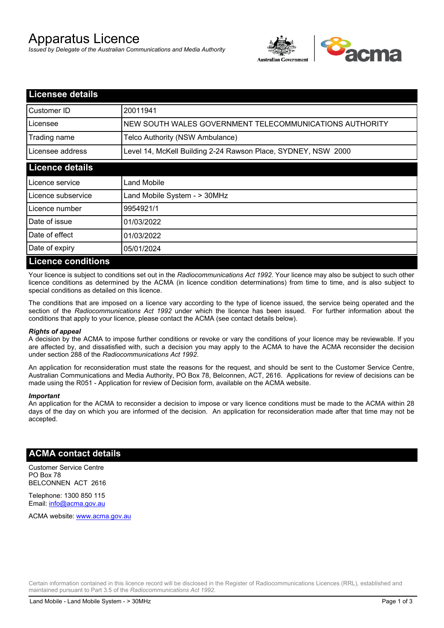# Apparatus Licence

*Issued by Delegate of the Australian Communications and Media Authority*



| <b>Licensee details</b>   |                                                               |  |
|---------------------------|---------------------------------------------------------------|--|
| Customer ID               | 20011941                                                      |  |
| Licensee                  | NEW SOUTH WALES GOVERNMENT TELECOMMUNICATIONS AUTHORITY       |  |
| Trading name              | Telco Authority (NSW Ambulance)                               |  |
| Licensee address          | Level 14, McKell Building 2-24 Rawson Place, SYDNEY, NSW 2000 |  |
| <b>Licence details</b>    |                                                               |  |
| Licence service           | Land Mobile                                                   |  |
| Licence subservice        | Land Mobile System - > 30MHz                                  |  |
| Licence number            | 9954921/1                                                     |  |
| Date of issue             | 01/03/2022                                                    |  |
| Date of effect            | 01/03/2022                                                    |  |
| Date of expiry            | 05/01/2024                                                    |  |
| <b>Licence conditions</b> |                                                               |  |

Your licence is subject to conditions set out in the *Radiocommunications Act 1992*. Your licence may also be subject to such other licence conditions as determined by the ACMA (in licence condition determinations) from time to time, and is also subject to special conditions as detailed on this licence.

The conditions that are imposed on a licence vary according to the type of licence issued, the service being operated and the section of the *Radiocommunications Act 1992* under which the licence has been issued. For further information about the conditions that apply to your licence, please contact the ACMA (see contact details below).

#### *Rights of appeal*

A decision by the ACMA to impose further conditions or revoke or vary the conditions of your licence may be reviewable. If you are affected by, and dissatisfied with, such a decision you may apply to the ACMA to have the ACMA reconsider the decision under section 288 of the *Radiocommunications Act 1992*.

An application for reconsideration must state the reasons for the request, and should be sent to the Customer Service Centre, Australian Communications and Media Authority, PO Box 78, Belconnen, ACT, 2616. Applications for review of decisions can be made using the R051 - Application for review of Decision form, available on the ACMA website.

#### *Important*

An application for the ACMA to reconsider a decision to impose or vary licence conditions must be made to the ACMA within 28 days of the day on which you are informed of the decision. An application for reconsideration made after that time may not be accepted.

### **ACMA contact details**

Customer Service Centre PO Box 78 BELCONNEN ACT 2616

Telephone: 1300 850 115 Email: info@acma.gov.au

ACMA website: www.acma.gov.au

Certain information contained in this licence record will be disclosed in the Register of Radiocommunications Licences (RRL), established and maintained pursuant to Part 3.5 of the *Radiocommunications Act 1992.*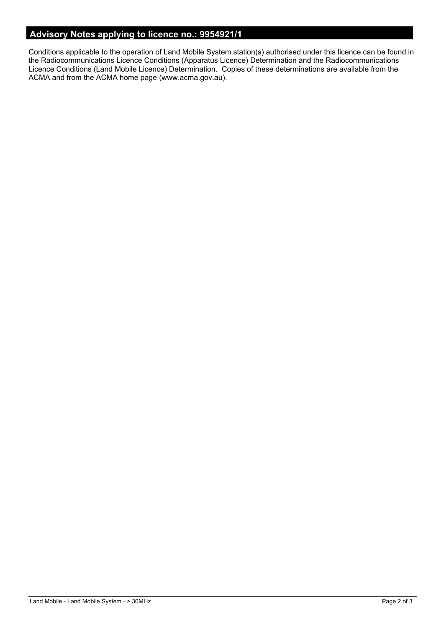# **Advisory Notes applying to licence no.: 9954921/1**

Conditions applicable to the operation of Land Mobile System station(s) authorised under this licence can be found in the Radiocommunications Licence Conditions (Apparatus Licence) Determination and the Radiocommunications Licence Conditions (Land Mobile Licence) Determination. Copies of these determinations are available from the ACMA and from the ACMA home page (www.acma.gov.au).